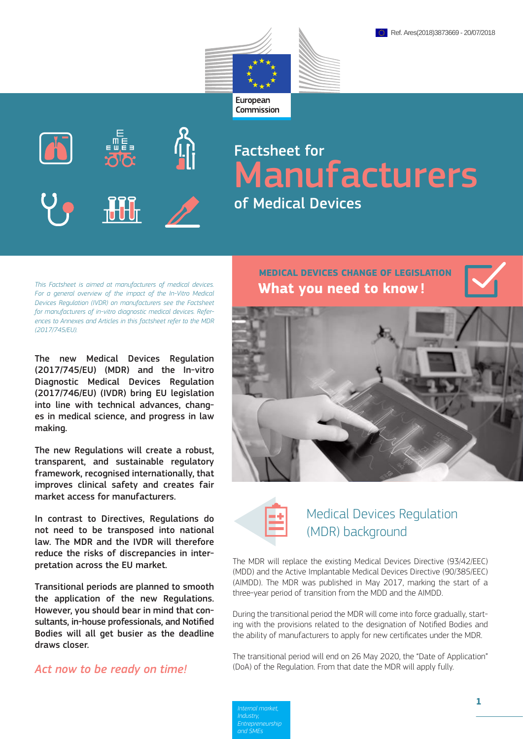



# Factsheet for Manufacturers of Medical Devices

*This Factsheet is aimed at manufacturers of medical devices. For a general overview of the impact of the In-Vitro Medical Devices Regulation (IVDR) on manufacturers see the Factsheet for manufacturers of in-vitro diagnostic medical devices. References to Annexes and Articles in this factsheet refer to the MDR (2017/745/EU).*

The new Medical Devices Regulation (2017/745/EU) (MDR) and the In-vitro Diagnostic Medical Devices Regulation (2017/746/EU) (IVDR) bring EU legislation into line with technical advances, changes in medical science, and progress in law making.

The new Regulations will create a robust, transparent, and sustainable regulatory framework, recognised internationally, that improves clinical safety and creates fair market access for manufacturers.

In contrast to Directives, Regulations do not need to be transposed into national law. The MDR and the IVDR will therefore reduce the risks of discrepancies in interpretation across the EU market.

Transitional periods are planned to smooth the application of the new Regulations. However, you should bear in mind that consultants, in-house professionals, and Notified Bodies will all get busier as the deadline draws closer.

# *Act now to be ready on time!*

**What you need to know! MEDICAL DEVICES CHANGE OF LEGISLATION**





# Medical Devices Regulation (MDR) background

The MDR will replace the existing Medical Devices Directive (93/42/EEC) (MDD) and the Active Implantable Medical Devices Directive (90/385/EEC) (AIMDD). The MDR was published in May 2017, marking the start of a three-year period of transition from the MDD and the AIMDD.

During the transitional period the MDR will come into force gradually, starting with the provisions related to the designation of Notified Bodies and the ability of manufacturers to apply for new certificates under the MDR.

The transitional period will end on 26 May 2020, the "Date of Application" (DoA) of the Regulation. From that date the MDR will apply fully.

*Internal market, Industry, and SMEs*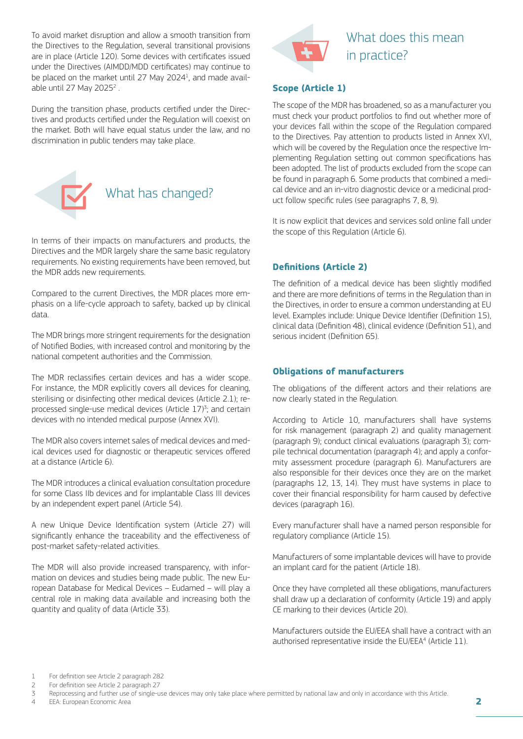To avoid market disruption and allow a smooth transition from the Directives to the Regulation, several transitional provisions are in place (Article 120). Some devices with certificates issued under the Directives (AIMDD/MDD certificates) may continue to be placed on the market until 27 May 2024<sup>1</sup>, and made available until 27 May 2025 $^2$ .

During the transition phase, products certified under the Directives and products certified under the Regulation will coexist on the market. Both will have equal status under the law, and no discrimination in public tenders may take place.



In terms of their impacts on manufacturers and products, the Directives and the MDR largely share the same basic regulatory requirements. No existing requirements have been removed, but the MDR adds new requirements.

Compared to the current Directives, the MDR places more emphasis on a life-cycle approach to safety, backed up by clinical data.

The MDR brings more stringent requirements for the designation of Notified Bodies, with increased control and monitoring by the national competent authorities and the Commission.

The MDR reclassifies certain devices and has a wider scope. For instance, the MDR explicitly covers all devices for cleaning, sterilising or disinfecting other medical devices (Article 2.1); reprocessed single-use medical devices (Article 17)<sup>3</sup>; and certain devices with no intended medical purpose (Annex XVI).

The MDR also covers internet sales of medical devices and medical devices used for diagnostic or therapeutic services offered at a distance (Article 6).

The MDR introduces a clinical evaluation consultation procedure for some Class IIb devices and for implantable Class III devices by an independent expert panel (Article 54).

A new Unique Device Identification system (Article 27) will significantly enhance the traceability and the effectiveness of post-market safety-related activities.

The MDR will also provide increased transparency, with information on devices and studies being made public. The new European Database for Medical Devices – Eudamed – will play a central role in making data available and increasing both the quantity and quality of data (Article 33).



# What does this mean in practice?

### **Scope (Article 1)**

The scope of the MDR has broadened, so as a manufacturer you must check your product portfolios to find out whether more of your devices fall within the scope of the Regulation compared to the Directives. Pay attention to products listed in Annex XVI, which will be covered by the Regulation once the respective Implementing Regulation setting out common specifications has been adopted. The list of products excluded from the scope can be found in paragraph 6. Some products that combined a medical device and an in-vitro diagnostic device or a medicinal product follow specific rules (see paragraphs 7, 8, 9).

It is now explicit that devices and services sold online fall under the scope of this Regulation (Article 6).

# **Definitions (Article 2)**

The definition of a medical device has been slightly modified and there are more definitions of terms in the Regulation than in the Directives, in order to ensure a common understanding at EU level. Examples include: Unique Device Identifier (Definition 15), clinical data (Definition 48), clinical evidence (Definition 51), and serious incident (Definition 65).

### **Obligations of manufacturers**

The obligations of the different actors and their relations are now clearly stated in the Regulation.

According to Article 10, manufacturers shall have systems for risk management (paragraph 2) and quality management (paragraph 9); conduct clinical evaluations (paragraph 3); compile technical documentation (paragraph 4); and apply a conformity assessment procedure (paragraph 6). Manufacturers are also responsible for their devices once they are on the market (paragraphs 12, 13, 14). They must have systems in place to cover their financial responsibility for harm caused by defective devices (paragraph 16).

Every manufacturer shall have a named person responsible for regulatory compliance (Article 15).

Manufacturers of some implantable devices will have to provide an implant card for the patient (Article 18).

Once they have completed all these obligations, manufacturers shall draw up a declaration of conformity (Article 19) and apply CE marking to their devices (Article 20).

Manufacturers outside the EU/EEA shall have a contract with an authorised representative inside the EU/EEA<sup>4</sup> (Article 11).

2 For definition see Article 2 paragraph 27

4 EEA: European Economic Area

<sup>1</sup> For definition see Article 2 paragraph 282

<sup>3</sup> Reprocessing and further use of single-use devices may only take place where permitted by national law and only in accordance with this Article.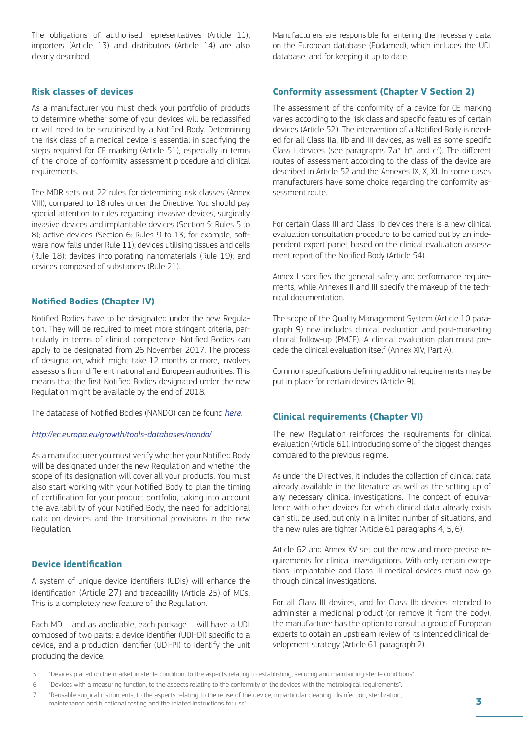The obligations of authorised representatives (Article 11), importers (Article 13) and distributors (Article 14) are also clearly described.

### **Risk classes of devices**

As a manufacturer you must check your portfolio of products to determine whether some of your devices will be reclassified or will need to be scrutinised by a Notified Body. Determining the risk class of a medical device is essential in specifying the steps required for CE marking (Article 51), especially in terms of the choice of conformity assessment procedure and clinical requirements.

The MDR sets out 22 rules for determining risk classes (Annex VIII), compared to 18 rules under the Directive. You should pay special attention to rules regarding: invasive devices, surgically invasive devices and implantable devices (Section 5: Rules 5 to 8); active devices (Section 6: Rules 9 to 13, for example, software now falls under Rule 11); devices utilising tissues and cells (Rule 18); devices incorporating nanomaterials (Rule 19); and devices composed of substances (Rule 21).

### **Notified Bodies (Chapter IV)**

Notified Bodies have to be designated under the new Regulation. They will be required to meet more stringent criteria, particularly in terms of clinical competence. Notified Bodies can apply to be designated from 26 November 2017. The process of designation, which might take 12 months or more, involves assessors from different national and European authorities. This means that the first Notified Bodies designated under the new Regulation might be available by the end of 2018.

The database of Notified Bodies (NANDO) can be found *[here](http://ec.europa.eu/growth/tools-databases/nando/)*.

#### *[http://ec.europa.eu/growth/tools-databases/nando/](http://ec.europa.eu/growth/tools-databases/nando)*

As a manufacturer you must verify whether your Notified Body will be designated under the new Regulation and whether the scope of its designation will cover all your products. You must also start working with your Notified Body to plan the timing of certification for your product portfolio, taking into account the availability of your Notified Body, the need for additional data on devices and the transitional provisions in the new Regulation.

### **Device identification**

A system of unique device identifiers (UDIs) will enhance the identification (Article 27) and traceability (Article 25) of MDs. This is a completely new feature of the Regulation.

Each MD – and as applicable, each package – will have a UDI composed of two parts: a device identifier (UDI-DI) specific to a device, and a production identifier (UDI-PI) to identify the unit producing the device.

Manufacturers are responsible for entering the necessary data on the European database (Eudamed), which includes the UDI database, and for keeping it up to date.

### **Conformity assessment (Chapter V Section 2)**

The assessment of the conformity of a device for CE marking varies according to the risk class and specific features of certain devices (Article 52). The intervention of a Notified Body is needed for all Class IIa, IIb and III devices, as well as some specific Class I devices (see paragraphs  $7a^5$ ,  $b^6$ , and  $c^7$ ). The different routes of assessment according to the class of the device are described in Article 52 and the Annexes IX, X, XI. In some cases manufacturers have some choice regarding the conformity assessment route.

For certain Class III and Class IIb devices there is a new clinical evaluation consultation procedure to be carried out by an independent expert panel, based on the clinical evaluation assessment report of the Notified Body (Article 54).

Annex I specifies the general safety and performance requirements, while Annexes II and III specify the makeup of the technical documentation.

The scope of the Quality Management System (Article 10 paragraph 9) now includes clinical evaluation and post-marketing clinical follow-up (PMCF). A clinical evaluation plan must precede the clinical evaluation itself (Annex XIV, Part A).

Common specifications defining additional requirements may be put in place for certain devices (Article 9).

#### **Clinical requirements (Chapter VI)**

The new Regulation reinforces the requirements for clinical evaluation (Article 61), introducing some of the biggest changes compared to the previous regime.

As under the Directives, it includes the collection of clinical data already available in the literature as well as the setting up of any necessary clinical investigations. The concept of equivalence with other devices for which clinical data already exists can still be used, but only in a limited number of situations, and the new rules are tighter (Article 61 paragraphs 4, 5, 6).

Article 62 and Annex XV set out the new and more precise requirements for clinical investigations. With only certain exceptions, implantable and Class III medical devices must now go through clinical investigations.

For all Class III devices, and for Class IIb devices intended to administer a medicinal product (or remove it from the body), the manufacturer has the option to consult a group of European experts to obtain an upstream review of its intended clinical development strategy (Article 61 paragraph 2).

<sup>5</sup> "Devices placed on the market in sterile condition, to the aspects relating to establishing, securing and maintaining sterile conditions".

<sup>6</sup> "Devices with a measuring function, to the aspects relating to the conformity of the devices with the metrological requirements".

<sup>7</sup> "Reusable surgical instruments, to the aspects relating to the reuse of the device, in particular cleaning, disinfection, sterilization, maintenance and functional testing and the related instructions for use".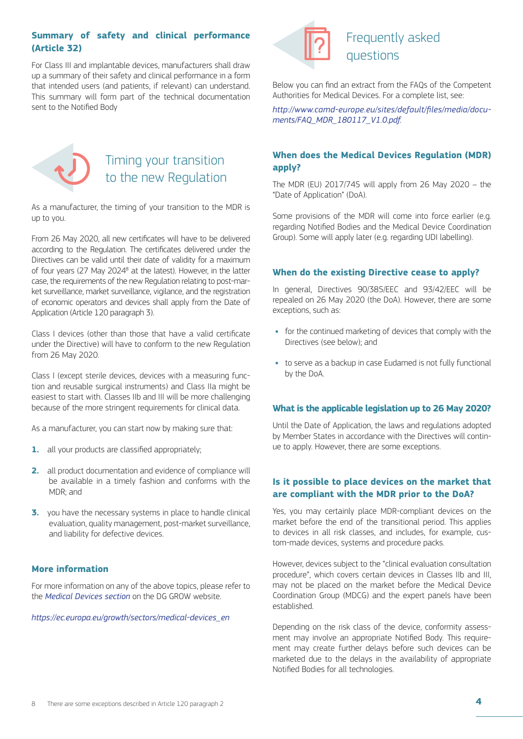# **Summary of safety and clinical performance (Article 32)**

For Class III and implantable devices, manufacturers shall draw up a summary of their safety and clinical performance in a form that intended users (and patients, if relevant) can understand. This summary will form part of the technical documentation sent to the Notified Body



# Frequently asked questions

Below you can find an extract from the FAQs of the Competent Authorities for Medical Devices. For a complete list, see:

*[http://www.camd-europe.eu/sites/default/files/media/docu](https://www.camd-europe.eu/sites/default/files/media/documents/FAQ_MDR_180117_V1.0.pdf)[ments/FAQ\\_MDR\\_180117\\_V1.0.pdf.](https://www.camd-europe.eu/sites/default/files/media/documents/FAQ_MDR_180117_V1.0.pdf)*



# Timing your transition to the new Regulation

As a manufacturer, the timing of your transition to the MDR is up to you.

From 26 May 2020, all new certificates will have to be delivered according to the Regulation. The certificates delivered under the Directives can be valid until their date of validity for a maximum of four years (27 May 2024<sup>8</sup> at the latest). However, in the latter case, the requirements of the new Regulation relating to post-market surveillance, market surveillance, vigilance, and the registration of economic operators and devices shall apply from the Date of Application (Article 120 paragraph 3).

Class I devices (other than those that have a valid certificate under the Directive) will have to conform to the new Regulation from 26 May 2020.

Class I (except sterile devices, devices with a measuring function and reusable surgical instruments) and Class IIa might be easiest to start with. Classes IIb and III will be more challenging because of the more stringent requirements for clinical data.

As a manufacturer, you can start now by making sure that:

- **1.** all your products are classified appropriately;
- **2.** all product documentation and evidence of compliance will be available in a timely fashion and conforms with the MDR; and
- **3.** you have the necessary systems in place to handle clinical evaluation, quality management, post-market surveillance, and liability for defective devices.

### **More information**

For more information on any of the above topics, please refer to the *Medical Devices section* on the DG GROW website.

*https://ec.europa.eu/growth/sectors/medical-devices\_en*

# **When does the Medical Devices Regulation (MDR) apply?**

The MDR (EU) 2017/745 will apply from 26 May 2020 – the "Date of Application" (DoA).

Some provisions of the MDR will come into force earlier (e.g. regarding Notified Bodies and the Medical Device Coordination Group). Some will apply later (e.g. regarding UDI labelling).

### **When do the existing Directive cease to apply?**

In general, Directives 90/385/EEC and 93/42/EEC will be repealed on 26 May 2020 (the DoA). However, there are some exceptions, such as:

- **•** for the continued marketing of devices that comply with the Directives (see below); and
- **•** to serve as a backup in case Eudamed is not fully functional by the DoA.

#### **What is the applicable legislation up to 26 May 2020?**

Until the Date of Application, the laws and regulations adopted by Member States in accordance with the Directives will continue to apply. However, there are some exceptions.

# **Is it possible to place devices on the market that are compliant with the MDR prior to the DoA?**

Yes, you may certainly place MDR-compliant devices on the market before the end of the transitional period. This applies to devices in all risk classes, and includes, for example, custom-made devices, systems and procedure packs.

However, devices subject to the "clinical evaluation consultation procedure", which covers certain devices in Classes IIb and III may not be placed on the market before the Medical Device Coordination Group (MDCG) and the expert panels have been established.

Depending on the risk class of the device, conformity assessment may involve an appropriate Notified Body. This requirement may create further delays before such devices can be marketed due to the delays in the availability of appropriate Notified Bodies for all technologies.